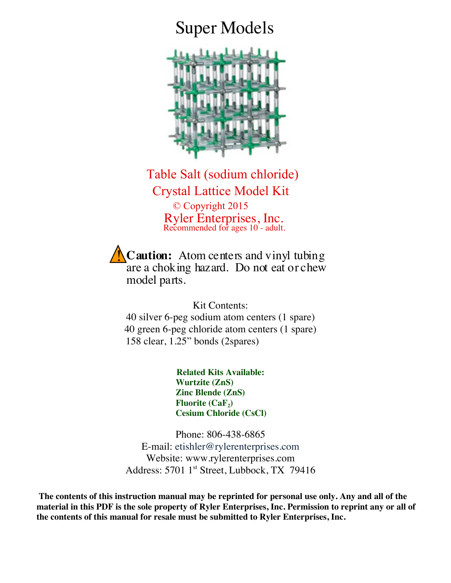## Super Models



 Table Salt (sodium chloride) Crystal Lattice Model Kit © Copyright 2015 Ryler Enterprises, Inc. Recommended for ages 10 - adult.

**Caution:** Atom centers and vinyl tubing are a choking hazard. Do not eat or chew model parts. !<br>!

Kit Contents: 40 silver 6-peg sodium atom centers (1 spare) 40 green 6-peg chloride atom centers (1 spare) 158 clear, 1.25" bonds (2spares)

> **Related Kits Available: Wurtzite (ZnS) Zinc Blende (ZnS) Fluorite (CaF<sub>2</sub>) Cesium Chloride (CsCl)**

Phone: 806-438-6865 E-mail: etishler@rylerenterprises.com Website: www.rylerenterprises.com Address: 5701 1<sup>st</sup> Street, Lubbock, TX 79416

**The contents of this instruction manual may be reprinted for personal use only. Any and all of the material in this PDF is the sole property of Ryler Enterprises, Inc. Permission to reprint any or all of the contents of this manual for resale must be submitted to Ryler Enterprises, Inc.**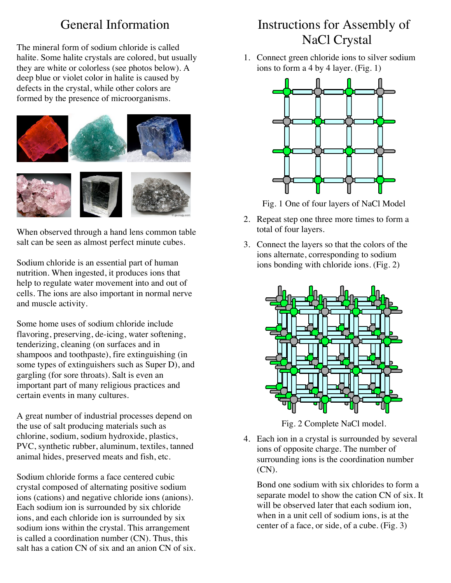## General Information

The mineral form of sodium chloride is called halite. Some halite crystals are colored, but usually they are white or colorless (see photos below). A deep blue or violet color in halite is caused by defects in the crystal, while other colors are formed by the presence of microorganisms.



When observed through a hand lens common table salt can be seen as almost perfect minute cubes.

Sodium chloride is an essential part of human nutrition. When ingested, it produces ions that help to regulate water movement into and out of cells. The ions are also important in normal nerve and muscle activity.

Some home uses of sodium chloride include flavoring, preserving, de-icing, water softening, tenderizing, cleaning (on surfaces and in shampoos and toothpaste), fire extinguishing (in some types of extinguishers such as Super D), and gargling (for sore throats). Salt is even an important part of many religious practices and certain events in many cultures.

A great number of industrial processes depend on the use of salt producing materials such as chlorine, sodium, sodium hydroxide, plastics, PVC, synthetic rubber, aluminum, textiles, tanned animal hides, preserved meats and fish, etc.

Sodium chloride forms a face centered cubic crystal composed of alternating positive sodium ions (cations) and negative chloride ions (anions). Each sodium ion is surrounded by six chloride ions, and each chloride ion is surrounded by six sodium ions within the crystal. This arrangement is called a coordination number (CN). Thus, this salt has a cation CN of six and an anion CN of six.

## Instructions for Assembly of NaCl Crystal

1. Connect green chloride ions to silver sodium ions to form a 4 by 4 layer. (Fig. 1)



Fig. 1 One of four layers of NaCl Model

- 2. Repeat step one three more times to form a total of four layers.
- 3. Connect the layers so that the colors of the ions alternate, corresponding to sodium ions bonding with chloride ions. (Fig. 2)



Fig. 2 Complete NaCl model.

4. Each ion in a crystal is surrounded by several ions of opposite charge. The number of surrounding ions is the coordination number (CN).

Bond one sodium with six chlorides to form a separate model to show the cation CN of six. It will be observed later that each sodium ion. when in a unit cell of sodium ions, is at the center of a face, or side, of a cube. (Fig. 3)